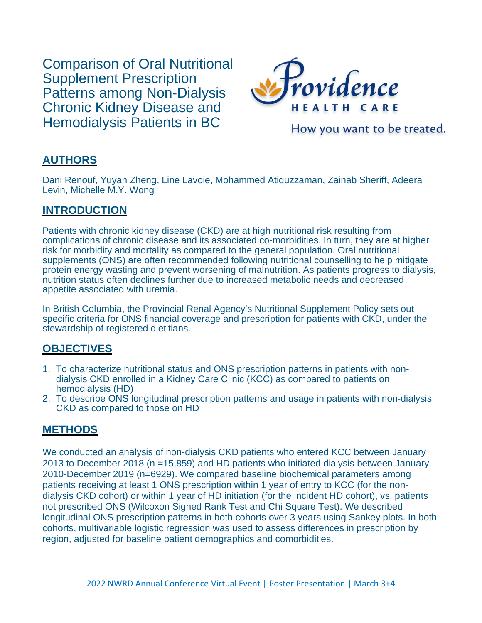Comparison of Oral Nutritional Supplement Prescription Patterns among Non-Dialysis Chronic Kidney Disease and Hemodialysis Patients in BC



How you want to be treated.

# **AUTHORS**

Dani Renouf, Yuyan Zheng, Line Lavoie, Mohammed Atiquzzaman, Zainab Sheriff, Adeera Levin, Michelle M.Y. Wong

# **INTRODUCTION**

Patients with chronic kidney disease (CKD) are at high nutritional risk resulting from complications of chronic disease and its associated co-morbidities. In turn, they are at higher risk for morbidity and mortality as compared to the general population. Oral nutritional supplements (ONS) are often recommended following nutritional counselling to help mitigate protein energy wasting and prevent worsening of malnutrition. As patients progress to dialysis, nutrition status often declines further due to increased metabolic needs and decreased appetite associated with uremia.

In British Columbia, the Provincial Renal Agency's Nutritional Supplement Policy sets out specific criteria for ONS financial coverage and prescription for patients with CKD, under the stewardship of registered dietitians.

# **OBJECTIVES**

- 1. To characterize nutritional status and ONS prescription patterns in patients with nondialysis CKD enrolled in a Kidney Care Clinic (KCC) as compared to patients on hemodialysis (HD)
- 2. To describe ONS longitudinal prescription patterns and usage in patients with non-dialysis CKD as compared to those on HD

#### **METHODS**

We conducted an analysis of non-dialysis CKD patients who entered KCC between January 2013 to December 2018 (n =15,859) and HD patients who initiated dialysis between January 2010-December 2019 (n=6929). We compared baseline biochemical parameters among patients receiving at least 1 ONS prescription within 1 year of entry to KCC (for the nondialysis CKD cohort) or within 1 year of HD initiation (for the incident HD cohort), vs. patients not prescribed ONS (Wilcoxon Signed Rank Test and Chi Square Test). We described longitudinal ONS prescription patterns in both cohorts over 3 years using Sankey plots. In both cohorts, multivariable logistic regression was used to assess differences in prescription by region, adjusted for baseline patient demographics and comorbidities.